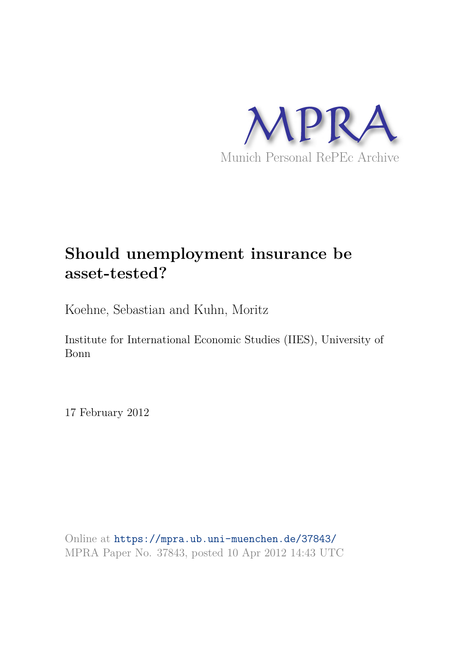

# **Should unemployment insurance be asset-tested?**

Koehne, Sebastian and Kuhn, Moritz

Institute for International Economic Studies (IIES), University of Bonn

17 February 2012

Online at https://mpra.ub.uni-muenchen.de/37843/ MPRA Paper No. 37843, posted 10 Apr 2012 14:43 UTC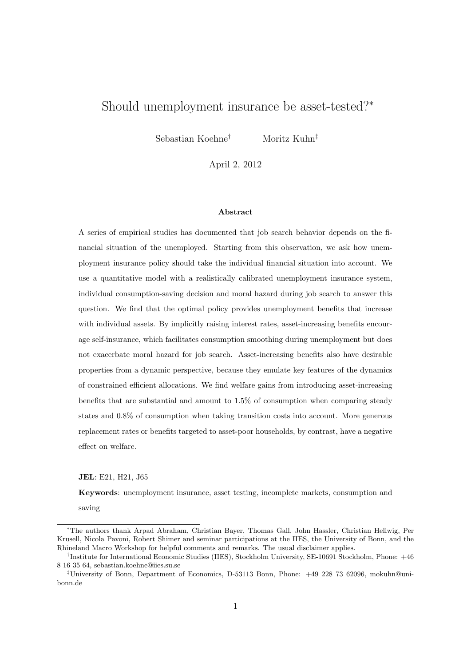## Should unemployment insurance be asset-tested?<sup>∗</sup>

Sebastian Koehne† Moritz Kuhn‡

April 2, 2012

#### Abstract

A series of empirical studies has documented that job search behavior depends on the financial situation of the unemployed. Starting from this observation, we ask how unemployment insurance policy should take the individual financial situation into account. We use a quantitative model with a realistically calibrated unemployment insurance system, individual consumption-saving decision and moral hazard during job search to answer this question. We find that the optimal policy provides unemployment benefits that increase with individual assets. By implicitly raising interest rates, asset-increasing benefits encourage self-insurance, which facilitates consumption smoothing during unemployment but does not exacerbate moral hazard for job search. Asset-increasing benefits also have desirable properties from a dynamic perspective, because they emulate key features of the dynamics of constrained efficient allocations. We find welfare gains from introducing asset-increasing benefits that are substantial and amount to 1.5% of consumption when comparing steady states and 0.8% of consumption when taking transition costs into account. More generous replacement rates or benefits targeted to asset-poor households, by contrast, have a negative effect on welfare.

JEL: E21, H21, J65

Keywords: unemployment insurance, asset testing, incomplete markets, consumption and

saving

<sup>∗</sup>The authors thank Arpad Abraham, Christian Bayer, Thomas Gall, John Hassler, Christian Hellwig, Per Krusell, Nicola Pavoni, Robert Shimer and seminar participations at the IIES, the University of Bonn, and the Rhineland Macro Workshop for helpful comments and remarks. The usual disclaimer applies.

<sup>†</sup> Institute for International Economic Studies (IIES), Stockholm University, SE-10691 Stockholm, Phone: +46 8 16 35 64, sebastian.koehne@iies.su.se

<sup>‡</sup>University of Bonn, Department of Economics, D-53113 Bonn, Phone: +49 228 73 62096, mokuhn@unibonn.de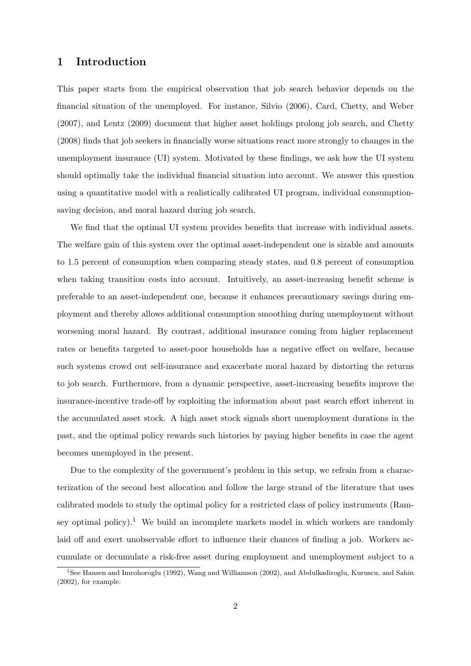## 1 Introduction

This paper starts from the empirical observation that job search behavior depends on the financial situation of the unemployed. For instance, Silvio (2006), Card, Chetty, and Weber (2007), and Lentz (2009) document that higher asset holdings prolong job search, and Chetty (2008) finds that job seekers in financially worse situations react more strongly to changes in the unemployment insurance (UI) system. Motivated by these findings, we ask how the UI system should optimally take the individual financial situation into account. We answer this question using a quantitative model with a realistically calibrated UI program, individual consumptionsaving decision, and moral hazard during job search.

We find that the optimal UI system provides benefits that increase with individual assets. The welfare gain of this system over the optimal asset-independent one is sizable and amounts to 1.5 percent of consumption when comparing steady states, and 0.8 percent of consumption when taking transition costs into account. Intuitively, an asset-increasing benefit scheme is preferable to an asset-independent one, because it enhances precautionary savings during employment and thereby allows additional consumption smoothing during unemployment without worsening moral hazard. By contrast, additional insurance coming from higher replacement rates or benefits targeted to asset-poor households has a negative effect on welfare, because such systems crowd out self-insurance and exacerbate moral hazard by distorting the returns to job search. Furthermore, from a dynamic perspective, asset-increasing benefits improve the insurance-incentive trade-off by exploiting the information about past search effort inherent in the accumulated asset stock. A high asset stock signals short unemployment durations in the past, and the optimal policy rewards such histories by paying higher benefits in case the agent becomes unemployed in the present.

Due to the complexity of the government's problem in this setup, we refrain from a characterization of the second best allocation and follow the large strand of the literature that uses calibrated models to study the optimal policy for a restricted class of policy instruments (Ramsey optimal policy).<sup>1</sup> We build an incomplete markets model in which workers are randomly laid off and exert unobservable effort to influence their chances of finding a job. Workers accumulate or decumulate a risk-free asset during employment and unemployment subject to a

<sup>&</sup>lt;sup>1</sup>See Hansen and Imrohoroglu (1992), Wang and Williamson (2002), and Abdulkadiroglu, Kuruscu, and Sahin (2002), for example.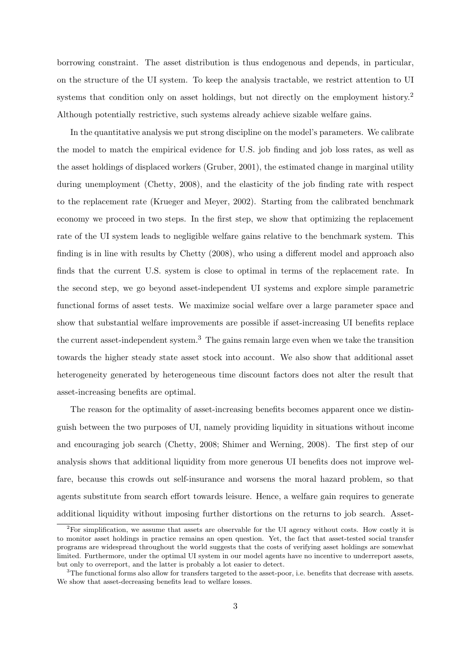borrowing constraint. The asset distribution is thus endogenous and depends, in particular, on the structure of the UI system. To keep the analysis tractable, we restrict attention to UI systems that condition only on asset holdings, but not directly on the employment history.<sup>2</sup> Although potentially restrictive, such systems already achieve sizable welfare gains.

In the quantitative analysis we put strong discipline on the model's parameters. We calibrate the model to match the empirical evidence for U.S. job finding and job loss rates, as well as the asset holdings of displaced workers (Gruber, 2001), the estimated change in marginal utility during unemployment (Chetty, 2008), and the elasticity of the job finding rate with respect to the replacement rate (Krueger and Meyer, 2002). Starting from the calibrated benchmark economy we proceed in two steps. In the first step, we show that optimizing the replacement rate of the UI system leads to negligible welfare gains relative to the benchmark system. This finding is in line with results by Chetty (2008), who using a different model and approach also finds that the current U.S. system is close to optimal in terms of the replacement rate. In the second step, we go beyond asset-independent UI systems and explore simple parametric functional forms of asset tests. We maximize social welfare over a large parameter space and show that substantial welfare improvements are possible if asset-increasing UI benefits replace the current asset-independent system.<sup>3</sup> The gains remain large even when we take the transition towards the higher steady state asset stock into account. We also show that additional asset heterogeneity generated by heterogeneous time discount factors does not alter the result that asset-increasing benefits are optimal.

The reason for the optimality of asset-increasing benefits becomes apparent once we distinguish between the two purposes of UI, namely providing liquidity in situations without income and encouraging job search (Chetty, 2008; Shimer and Werning, 2008). The first step of our analysis shows that additional liquidity from more generous UI benefits does not improve welfare, because this crowds out self-insurance and worsens the moral hazard problem, so that agents substitute from search effort towards leisure. Hence, a welfare gain requires to generate additional liquidity without imposing further distortions on the returns to job search. Asset-

<sup>&</sup>lt;sup>2</sup>For simplification, we assume that assets are observable for the UI agency without costs. How costly it is to monitor asset holdings in practice remains an open question. Yet, the fact that asset-tested social transfer programs are widespread throughout the world suggests that the costs of verifying asset holdings are somewhat limited. Furthermore, under the optimal UI system in our model agents have no incentive to underreport assets, but only to overreport, and the latter is probably a lot easier to detect.

 ${}^{3}$ The functional forms also allow for transfers targeted to the asset-poor, i.e. benefits that decrease with assets. We show that asset-decreasing benefits lead to welfare losses.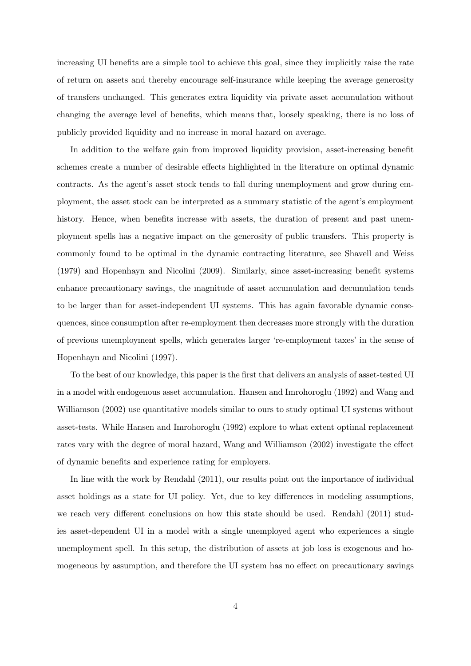increasing UI benefits are a simple tool to achieve this goal, since they implicitly raise the rate of return on assets and thereby encourage self-insurance while keeping the average generosity of transfers unchanged. This generates extra liquidity via private asset accumulation without changing the average level of benefits, which means that, loosely speaking, there is no loss of publicly provided liquidity and no increase in moral hazard on average.

In addition to the welfare gain from improved liquidity provision, asset-increasing benefit schemes create a number of desirable effects highlighted in the literature on optimal dynamic contracts. As the agent's asset stock tends to fall during unemployment and grow during employment, the asset stock can be interpreted as a summary statistic of the agent's employment history. Hence, when benefits increase with assets, the duration of present and past unemployment spells has a negative impact on the generosity of public transfers. This property is commonly found to be optimal in the dynamic contracting literature, see Shavell and Weiss (1979) and Hopenhayn and Nicolini (2009). Similarly, since asset-increasing benefit systems enhance precautionary savings, the magnitude of asset accumulation and decumulation tends to be larger than for asset-independent UI systems. This has again favorable dynamic consequences, since consumption after re-employment then decreases more strongly with the duration of previous unemployment spells, which generates larger 're-employment taxes' in the sense of Hopenhayn and Nicolini (1997).

To the best of our knowledge, this paper is the first that delivers an analysis of asset-tested UI in a model with endogenous asset accumulation. Hansen and Imrohoroglu (1992) and Wang and Williamson (2002) use quantitative models similar to ours to study optimal UI systems without asset-tests. While Hansen and Imrohoroglu (1992) explore to what extent optimal replacement rates vary with the degree of moral hazard, Wang and Williamson (2002) investigate the effect of dynamic benefits and experience rating for employers.

In line with the work by Rendahl (2011), our results point out the importance of individual asset holdings as a state for UI policy. Yet, due to key differences in modeling assumptions, we reach very different conclusions on how this state should be used. Rendahl (2011) studies asset-dependent UI in a model with a single unemployed agent who experiences a single unemployment spell. In this setup, the distribution of assets at job loss is exogenous and homogeneous by assumption, and therefore the UI system has no effect on precautionary savings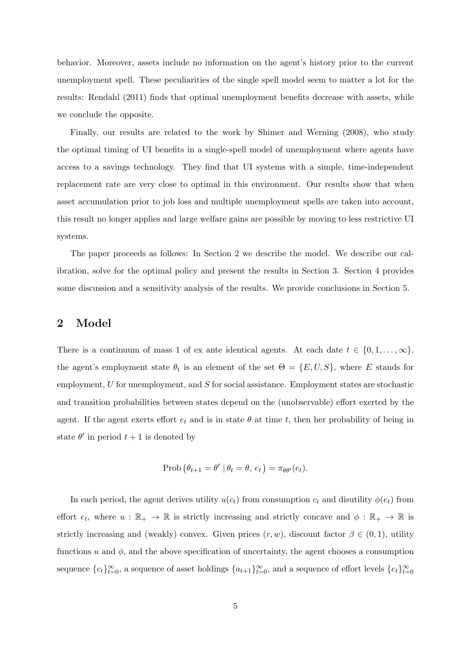behavior. Moreover, assets include no information on the agent's history prior to the current unemployment spell. These peculiarities of the single spell model seem to matter a lot for the results: Rendahl (2011) finds that optimal unemployment benefits decrease with assets, while we conclude the opposite.

Finally, our results are related to the work by Shimer and Werning (2008), who study the optimal timing of UI benefits in a single-spell model of unemployment where agents have access to a savings technology. They find that UI systems with a simple, time-independent replacement rate are very close to optimal in this environment. Our results show that when asset accumulation prior to job loss and multiple unemployment spells are taken into account, this result no longer applies and large welfare gains are possible by moving to less restrictive UI systems.

The paper proceeds as follows: In Section 2 we describe the model. We describe our calibration, solve for the optimal policy and present the results in Section 3. Section 4 provides some discussion and a sensitivity analysis of the results. We provide conclusions in Section 5.

## 2 Model

There is a continuum of mass 1 of ex ante identical agents. At each date  $t \in \{0, 1, \ldots, \infty\},$ the agent's employment state  $\theta_t$  is an element of the set  $\Theta = \{E, U, S\}$ , where E stands for employment,  $U$  for unemployment, and  $S$  for social assistance. Employment states are stochastic and transition probabilities between states depend on the (unobservable) effort exerted by the agent. If the agent exerts effort  $e_t$  and is in state  $\theta$  at time t, then her probability of being in state  $\theta'$  in period  $t+1$  is denoted by

$$
\text{Prob}(\theta_{t+1} = \theta' \mid \theta_t = \theta, e_t) = \pi_{\theta \theta'}(e_t).
$$

In each period, the agent derives utility  $u(c_t)$  from consumption  $c_t$  and disutility  $\phi(e_t)$  from effort  $e_t$ , where  $u : \mathbb{R}_+ \to \mathbb{R}$  is strictly increasing and strictly concave and  $\phi : \mathbb{R}_+ \to \mathbb{R}$  is strictly increasing and (weakly) convex. Given prices  $(r, w)$ , discount factor  $\beta \in (0, 1)$ , utility functions u and  $\phi$ , and the above specification of uncertainty, the agent chooses a consumption sequence  ${c_t}_{t=0}^{\infty}$ , a sequence of asset holdings  ${a_{t+1}}_{t=0}^{\infty}$ , and a sequence of effort levels  ${e_t}_{t=0}^{\infty}$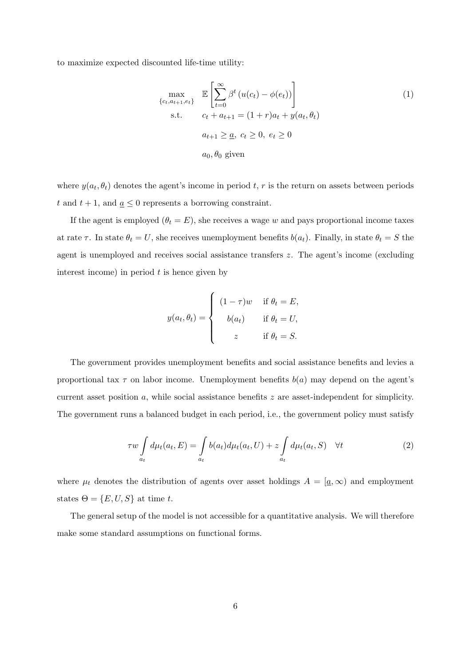to maximize expected discounted life-time utility:

$$
\max_{\{c_t, a_{t+1}, e_t\}} \mathbb{E}\left[\sum_{t=0}^{\infty} \beta^t \left(u(c_t) - \phi(e_t)\right)\right]
$$
\n
$$
\text{s.t.} \quad c_t + a_{t+1} = (1+r)a_t + y(a_t, \theta_t)
$$
\n
$$
a_{t+1} \geq \underline{a}, \ c_t \geq 0, \ e_t \geq 0
$$
\n
$$
a_0, \theta_0 \text{ given}
$$
\n(1)

where  $y(a_t, \theta_t)$  denotes the agent's income in period t, r is the return on assets between periods t and  $t + 1$ , and  $\underline{a} \leq 0$  represents a borrowing constraint.

If the agent is employed  $(\theta_t = E)$ , she receives a wage w and pays proportional income taxes at rate  $\tau$ . In state  $\theta_t = U$ , she receives unemployment benefits  $b(a_t)$ . Finally, in state  $\theta_t = S$  the agent is unemployed and receives social assistance transfers z. The agent's income (excluding interest income) in period  $t$  is hence given by

$$
y(a_t, \theta_t) = \begin{cases} (1 - \tau)w & \text{if } \theta_t = E, \\ b(a_t) & \text{if } \theta_t = U, \\ z & \text{if } \theta_t = S. \end{cases}
$$

The government provides unemployment benefits and social assistance benefits and levies a proportional tax  $\tau$  on labor income. Unemployment benefits  $b(a)$  may depend on the agent's current asset position  $a$ , while social assistance benefits  $z$  are asset-independent for simplicity. The government runs a balanced budget in each period, i.e., the government policy must satisfy

$$
\tau w \int_{a_t} d\mu_t(a_t, E) = \int_{a_t} b(a_t) d\mu_t(a_t, U) + z \int_{a_t} d\mu_t(a_t, S) \quad \forall t
$$
\n(2)

where  $\mu_t$  denotes the distribution of agents over asset holdings  $A = [\underline{a}, \infty)$  and employment states  $\Theta = \{E, U, S\}$  at time t.

The general setup of the model is not accessible for a quantitative analysis. We will therefore make some standard assumptions on functional forms.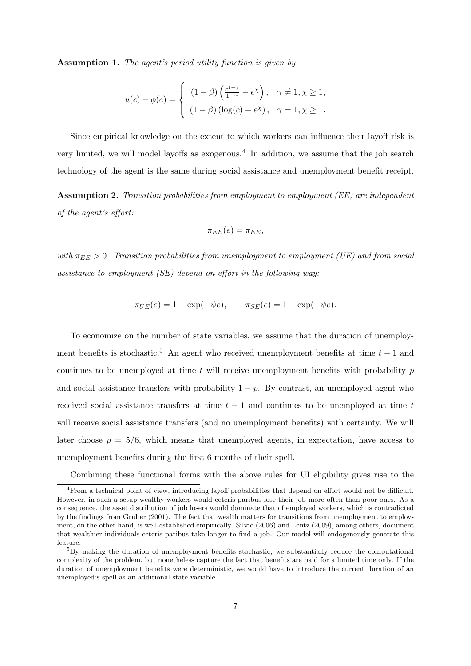Assumption 1. The agent's period utility function is given by

$$
u(c) - \phi(e) = \begin{cases} (1 - \beta) \left( \frac{c^{1 - \gamma}}{1 - \gamma} - e^{\chi} \right), & \gamma \neq 1, \chi \geq 1, \\ (1 - \beta) (\log(c) - e^{\chi}), & \gamma = 1, \chi \geq 1. \end{cases}
$$

Since empirical knowledge on the extent to which workers can influence their layoff risk is very limited, we will model layoffs as exogenous.<sup>4</sup> In addition, we assume that the job search technology of the agent is the same during social assistance and unemployment benefit receipt.

Assumption 2. Transition probabilities from employment to employment (EE) are independent of the agent's effort:

$$
\pi_{EE}(e)=\pi_{EE},
$$

with  $\pi_{EE} > 0$ . Transition probabilities from unemployment to employment (UE) and from social assistance to employment (SE) depend on effort in the following way:

$$
\pi_{UE}(e) = 1 - \exp(-\psi e), \qquad \pi_{SE}(e) = 1 - \exp(-\psi e).
$$

To economize on the number of state variables, we assume that the duration of unemployment benefits is stochastic.<sup>5</sup> An agent who received unemployment benefits at time  $t - 1$  and continues to be unemployed at time  $t$  will receive unemployment benefits with probability  $p$ and social assistance transfers with probability  $1 - p$ . By contrast, an unemployed agent who received social assistance transfers at time  $t - 1$  and continues to be unemployed at time t will receive social assistance transfers (and no unemployment benefits) with certainty. We will later choose  $p = 5/6$ , which means that unemployed agents, in expectation, have access to unemployment benefits during the first 6 months of their spell.

Combining these functional forms with the above rules for UI eligibility gives rise to the

<sup>4</sup>From a technical point of view, introducing layoff probabilities that depend on effort would not be difficult. However, in such a setup wealthy workers would ceteris paribus lose their job more often than poor ones. As a consequence, the asset distribution of job losers would dominate that of employed workers, which is contradicted by the findings from Gruber (2001). The fact that wealth matters for transitions from unemployment to employment, on the other hand, is well-established empirically. Silvio (2006) and Lentz (2009), among others, document that wealthier individuals ceteris paribus take longer to find a job. Our model will endogenously generate this feature.

<sup>&</sup>lt;sup>5</sup>By making the duration of unemployment benefits stochastic, we substantially reduce the computational complexity of the problem, but nonetheless capture the fact that benefits are paid for a limited time only. If the duration of unemployment benefits were deterministic, we would have to introduce the current duration of an unemployed's spell as an additional state variable.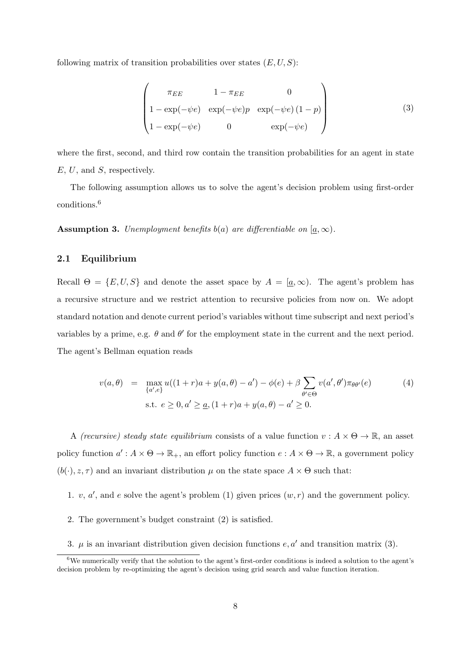following matrix of transition probabilities over states  $(E, U, S)$ :

$$
\begin{pmatrix}\n\pi_{EE} & 1 - \pi_{EE} & 0 \\
1 - \exp(-\psi e) & \exp(-\psi e)p & \exp(-\psi e)(1 - p) \\
1 - \exp(-\psi e) & 0 & \exp(-\psi e)\n\end{pmatrix}
$$
\n(3)

where the first, second, and third row contain the transition probabilities for an agent in state E, U, and S, respectively.

The following assumption allows us to solve the agent's decision problem using first-order conditions.<sup>6</sup>

**Assumption 3.** Unemployment benefits b(a) are differentiable on  $[a, \infty)$ .

### 2.1 Equilibrium

Recall  $\Theta = \{E, U, S\}$  and denote the asset space by  $A = [\underline{a}, \infty)$ . The agent's problem has a recursive structure and we restrict attention to recursive policies from now on. We adopt standard notation and denote current period's variables without time subscript and next period's variables by a prime, e.g.  $\theta$  and  $\theta'$  for the employment state in the current and the next period. The agent's Bellman equation reads

$$
v(a,\theta) = \max_{\{a',e\}} u((1+r)a + y(a,\theta) - a') - \phi(e) + \beta \sum_{\theta' \in \Theta} v(a',\theta')\pi_{\theta\theta'}(e)
$$
  
s.t.  $e \ge 0, a' \ge \underline{a}, (1+r)a + y(a,\theta) - a' \ge 0.$  (4)

A (recursive) steady state equilibrium consists of a value function  $v : A \times \Theta \to \mathbb{R}$ , an asset policy function  $a': A \times \Theta \to \mathbb{R}_+$ , an effort policy function  $e: A \times \Theta \to \mathbb{R}$ , a government policy  $(b(\cdot), z, \tau)$  and an invariant distribution  $\mu$  on the state space  $A \times \Theta$  such that:

1. v,  $a'$ , and e solve the agent's problem (1) given prices  $(w, r)$  and the government policy.

- 2. The government's budget constraint (2) is satisfied.
- 3.  $\mu$  is an invariant distribution given decision functions  $e, a'$  and transition matrix (3).

 $6$ We numerically verify that the solution to the agent's first-order conditions is indeed a solution to the agent's decision problem by re-optimizing the agent's decision using grid search and value function iteration.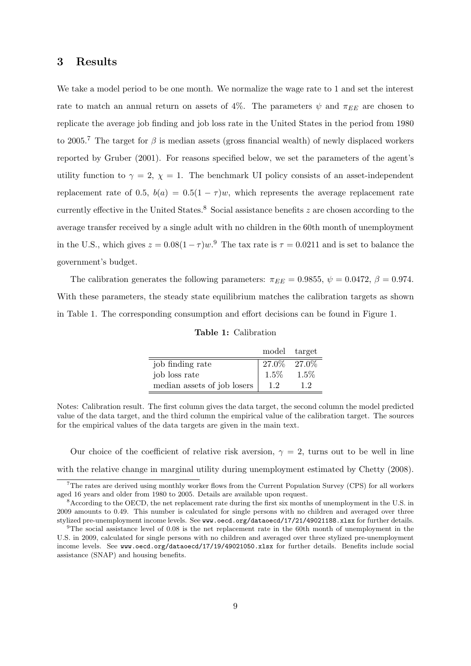## 3 Results

We take a model period to be one month. We normalize the wage rate to 1 and set the interest rate to match an annual return on assets of 4%. The parameters  $\psi$  and  $\pi_{EE}$  are chosen to replicate the average job finding and job loss rate in the United States in the period from 1980 to 2005.<sup>7</sup> The target for  $\beta$  is median assets (gross financial wealth) of newly displaced workers reported by Gruber (2001). For reasons specified below, we set the parameters of the agent's utility function to  $\gamma = 2$ ,  $\chi = 1$ . The benchmark UI policy consists of an asset-independent replacement rate of 0.5,  $b(a) = 0.5(1 - \tau)w$ , which represents the average replacement rate currently effective in the United States.<sup>8</sup> Social assistance benefits  $z$  are chosen according to the average transfer received by a single adult with no children in the 60th month of unemployment in the U.S., which gives  $z = 0.08(1 - \tau)w$ .<sup>9</sup> The tax rate is  $\tau = 0.0211$  and is set to balance the government's budget.

The calibration generates the following parameters:  $\pi_{EE} = 0.9855$ ,  $\psi = 0.0472$ ,  $\beta = 0.974$ . With these parameters, the steady state equilibrium matches the calibration targets as shown in Table 1. The corresponding consumption and effort decisions can be found in Figure 1.

Table 1: Calibration

|                             | model target |          |
|-----------------------------|--------------|----------|
| job finding rate            | $27.0\%$     | $27.0\%$ |
| job loss rate               | 1.5%         | 1.5%     |
| median assets of job losers | 1.2          | 12       |

Notes: Calibration result. The first column gives the data target, the second column the model predicted value of the data target, and the third column the empirical value of the calibration target. The sources for the empirical values of the data targets are given in the main text.

Our choice of the coefficient of relative risk aversion,  $\gamma = 2$ , turns out to be well in line with the relative change in marginal utility during unemployment estimated by Chetty (2008).

<sup>7</sup>The rates are derived using monthly worker flows from the Current Population Survey (CPS) for all workers aged 16 years and older from 1980 to 2005. Details are available upon request.

<sup>&</sup>lt;sup>8</sup>According to the OECD, the net replacement rate during the first six months of unemployment in the U.S. in 2009 amounts to 0.49. This number is calculated for single persons with no children and averaged over three stylized pre-unemployment income levels. See www.oecd.org/dataoecd/17/21/49021188.xlsx for further details.

<sup>&</sup>lt;sup>9</sup>The social assistance level of 0.08 is the net replacement rate in the 60th month of unemployment in the U.S. in 2009, calculated for single persons with no children and averaged over three stylized pre-unemployment income levels. See www.oecd.org/dataoecd/17/19/49021050.xlsx for further details. Benefits include social assistance (SNAP) and housing benefits.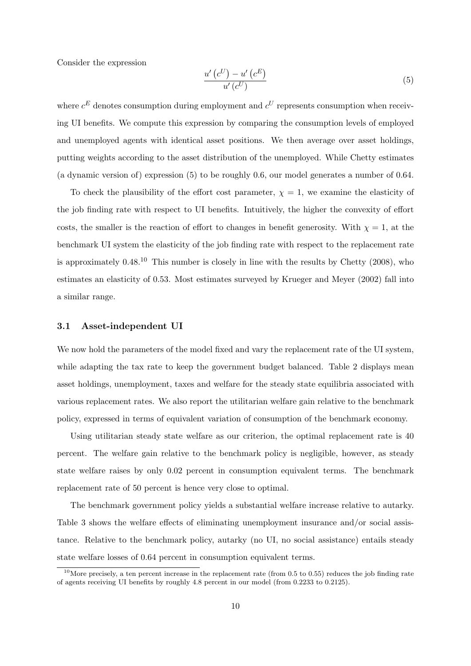Consider the expression

$$
\frac{u'\left(c^U\right) - u'\left(c^E\right)}{u'\left(c^U\right)}\tag{5}
$$

where  $c^E$  denotes consumption during employment and  $c^U$  represents consumption when receiving UI benefits. We compute this expression by comparing the consumption levels of employed and unemployed agents with identical asset positions. We then average over asset holdings, putting weights according to the asset distribution of the unemployed. While Chetty estimates (a dynamic version of) expression (5) to be roughly 0.6, our model generates a number of 0.64.

To check the plausibility of the effort cost parameter,  $\chi = 1$ , we examine the elasticity of the job finding rate with respect to UI benefits. Intuitively, the higher the convexity of effort costs, the smaller is the reaction of effort to changes in benefit generosity. With  $\chi = 1$ , at the benchmark UI system the elasticity of the job finding rate with respect to the replacement rate is approximately  $0.48^{10}$  This number is closely in line with the results by Chetty (2008), who estimates an elasticity of 0.53. Most estimates surveyed by Krueger and Meyer (2002) fall into a similar range.

#### 3.1 Asset-independent UI

We now hold the parameters of the model fixed and vary the replacement rate of the UI system, while adapting the tax rate to keep the government budget balanced. Table 2 displays mean asset holdings, unemployment, taxes and welfare for the steady state equilibria associated with various replacement rates. We also report the utilitarian welfare gain relative to the benchmark policy, expressed in terms of equivalent variation of consumption of the benchmark economy.

Using utilitarian steady state welfare as our criterion, the optimal replacement rate is 40 percent. The welfare gain relative to the benchmark policy is negligible, however, as steady state welfare raises by only 0.02 percent in consumption equivalent terms. The benchmark replacement rate of 50 percent is hence very close to optimal.

The benchmark government policy yields a substantial welfare increase relative to autarky. Table 3 shows the welfare effects of eliminating unemployment insurance and/or social assistance. Relative to the benchmark policy, autarky (no UI, no social assistance) entails steady state welfare losses of 0.64 percent in consumption equivalent terms.

<sup>&</sup>lt;sup>10</sup>More precisely, a ten percent increase in the replacement rate (from  $0.5$  to  $0.55$ ) reduces the job finding rate of agents receiving UI benefits by roughly 4.8 percent in our model (from 0.2233 to 0.2125).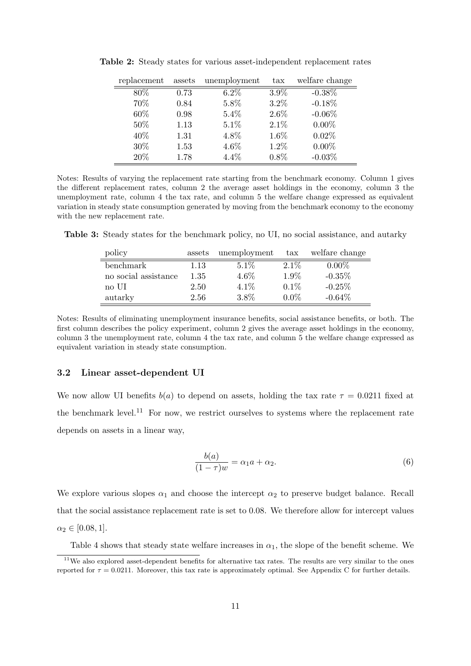| replacement | assets | unemployment | $\text{tax}$ | welfare change |
|-------------|--------|--------------|--------------|----------------|
| 80\%        | 0.73   | $6.2\%$      | 3.9%         | $-0.38\%$      |
| 70%         | 0.84   | 5.8%         | $3.2\%$      | $-0.18%$       |
| $60\%$      | 0.98   | $5.4\%$      | $2.6\%$      | $-0.06\%$      |
| 50%         | 1.13   | $5.1\%$      | $2.1\%$      | $0.00\%$       |
| 40\%        | 1.31   | 4.8%         | 1.6%         | $0.02\%$       |
| 30\%        | 1.53   | $4.6\%$      | $1.2\%$      | $0.00\%$       |
| 20%         | 1.78   | 4.4%         | 0.8%         | $-0.03%$       |

Table 2: Steady states for various asset-independent replacement rates

Notes: Results of varying the replacement rate starting from the benchmark economy. Column 1 gives the different replacement rates, column 2 the average asset holdings in the economy, column 3 the unemployment rate, column 4 the tax rate, and column 5 the welfare change expressed as equivalent variation in steady state consumption generated by moving from the benchmark economy to the economy with the new replacement rate.

Table 3: Steady states for the benchmark policy, no UI, no social assistance, and autarky

| policy               | assets | unemployment | $\text{tax}$ | welfare change |
|----------------------|--------|--------------|--------------|----------------|
| benchmark            | 1.13   | 5.1%         | $2.1\%$      | $0.00\%$       |
| no social assistance | 1.35   | 4.6%         | 1.9%         | $-0.35\%$      |
| no UI                | 2.50   | 4.1%         | $0.1\%$      | $-0.25%$       |
| autarky              | 2.56   | 3.8%         | $0.0\%$      | $-0.64\%$      |

Notes: Results of eliminating unemployment insurance benefits, social assistance benefits, or both. The first column describes the policy experiment, column 2 gives the average asset holdings in the economy, column 3 the unemployment rate, column 4 the tax rate, and column 5 the welfare change expressed as equivalent variation in steady state consumption.

#### 3.2 Linear asset-dependent UI

We now allow UI benefits  $b(a)$  to depend on assets, holding the tax rate  $\tau = 0.0211$  fixed at the benchmark level.<sup>11</sup> For now, we restrict ourselves to systems where the replacement rate depends on assets in a linear way,

$$
\frac{b(a)}{(1-\tau)w} = \alpha_1 a + \alpha_2. \tag{6}
$$

We explore various slopes  $\alpha_1$  and choose the intercept  $\alpha_2$  to preserve budget balance. Recall that the social assistance replacement rate is set to 0.08. We therefore allow for intercept values  $\alpha_2 \in [0.08, 1].$ 

Table 4 shows that steady state welfare increases in  $\alpha_1$ , the slope of the benefit scheme. We

<sup>&</sup>lt;sup>11</sup>We also explored asset-dependent benefits for alternative tax rates. The results are very similar to the ones reported for  $\tau = 0.0211$ . Moreover, this tax rate is approximately optimal. See Appendix C for further details.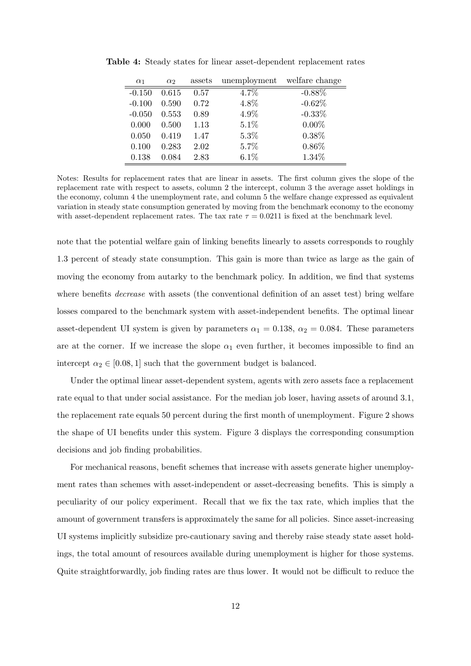| $\alpha_1$ | $\alpha$ <sub>2</sub> | assets | unemployment | welfare change |
|------------|-----------------------|--------|--------------|----------------|
| $-0.150$   | 0.615                 | 0.57   | 4.7%         | $-0.88\%$      |
| $-0.100$   | 0.590                 | 0.72   | 4.8%         | $-0.62\%$      |
| $-0.050$   | 0.553                 | 0.89   | 4.9%         | $-0.33\%$      |
| 0.000      | 0.500                 | 1.13   | $5.1\%$      | $0.00\%$       |
| 0.050      | 0.419                 | 1.47   | 5.3%         | 0.38%          |
| 0.100      | 0.283                 | 2.02   | 5.7%         | $0.86\%$       |
| 0.138      | 0.084                 | 2.83   | 6.1%         | 1.34%          |

Table 4: Steady states for linear asset-dependent replacement rates

Notes: Results for replacement rates that are linear in assets. The first column gives the slope of the replacement rate with respect to assets, column 2 the intercept, column 3 the average asset holdings in the economy, column 4 the unemployment rate, and column 5 the welfare change expressed as equivalent variation in steady state consumption generated by moving from the benchmark economy to the economy with asset-dependent replacement rates. The tax rate  $\tau = 0.0211$  is fixed at the benchmark level.

note that the potential welfare gain of linking benefits linearly to assets corresponds to roughly 1.3 percent of steady state consumption. This gain is more than twice as large as the gain of moving the economy from autarky to the benchmark policy. In addition, we find that systems where benefits *decrease* with assets (the conventional definition of an asset test) bring welfare losses compared to the benchmark system with asset-independent benefits. The optimal linear asset-dependent UI system is given by parameters  $\alpha_1 = 0.138$ ,  $\alpha_2 = 0.084$ . These parameters are at the corner. If we increase the slope  $\alpha_1$  even further, it becomes impossible to find an intercept  $\alpha_2 \in [0.08, 1]$  such that the government budget is balanced.

Under the optimal linear asset-dependent system, agents with zero assets face a replacement rate equal to that under social assistance. For the median job loser, having assets of around 3.1, the replacement rate equals 50 percent during the first month of unemployment. Figure 2 shows the shape of UI benefits under this system. Figure 3 displays the corresponding consumption decisions and job finding probabilities.

For mechanical reasons, benefit schemes that increase with assets generate higher unemployment rates than schemes with asset-independent or asset-decreasing benefits. This is simply a peculiarity of our policy experiment. Recall that we fix the tax rate, which implies that the amount of government transfers is approximately the same for all policies. Since asset-increasing UI systems implicitly subsidize pre-cautionary saving and thereby raise steady state asset holdings, the total amount of resources available during unemployment is higher for those systems. Quite straightforwardly, job finding rates are thus lower. It would not be difficult to reduce the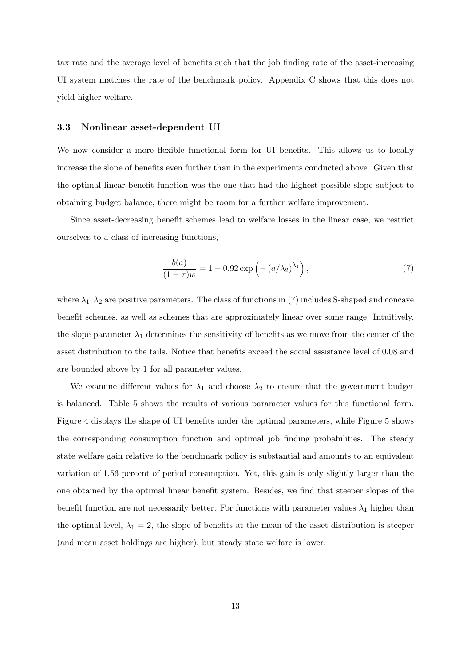tax rate and the average level of benefits such that the job finding rate of the asset-increasing UI system matches the rate of the benchmark policy. Appendix C shows that this does not yield higher welfare.

#### 3.3 Nonlinear asset-dependent UI

We now consider a more flexible functional form for UI benefits. This allows us to locally increase the slope of benefits even further than in the experiments conducted above. Given that the optimal linear benefit function was the one that had the highest possible slope subject to obtaining budget balance, there might be room for a further welfare improvement.

Since asset-decreasing benefit schemes lead to welfare losses in the linear case, we restrict ourselves to a class of increasing functions,

$$
\frac{b(a)}{(1-\tau)w} = 1 - 0.92 \exp\left(-\left(a/\lambda_2\right)^{\lambda_1}\right),\tag{7}
$$

where  $\lambda_1, \lambda_2$  are positive parameters. The class of functions in (7) includes S-shaped and concave benefit schemes, as well as schemes that are approximately linear over some range. Intuitively, the slope parameter  $\lambda_1$  determines the sensitivity of benefits as we move from the center of the asset distribution to the tails. Notice that benefits exceed the social assistance level of 0.08 and are bounded above by 1 for all parameter values.

We examine different values for  $\lambda_1$  and choose  $\lambda_2$  to ensure that the government budget is balanced. Table 5 shows the results of various parameter values for this functional form. Figure 4 displays the shape of UI benefits under the optimal parameters, while Figure 5 shows the corresponding consumption function and optimal job finding probabilities. The steady state welfare gain relative to the benchmark policy is substantial and amounts to an equivalent variation of 1.56 percent of period consumption. Yet, this gain is only slightly larger than the one obtained by the optimal linear benefit system. Besides, we find that steeper slopes of the benefit function are not necessarily better. For functions with parameter values  $\lambda_1$  higher than the optimal level,  $\lambda_1 = 2$ , the slope of benefits at the mean of the asset distribution is steeper (and mean asset holdings are higher), but steady state welfare is lower.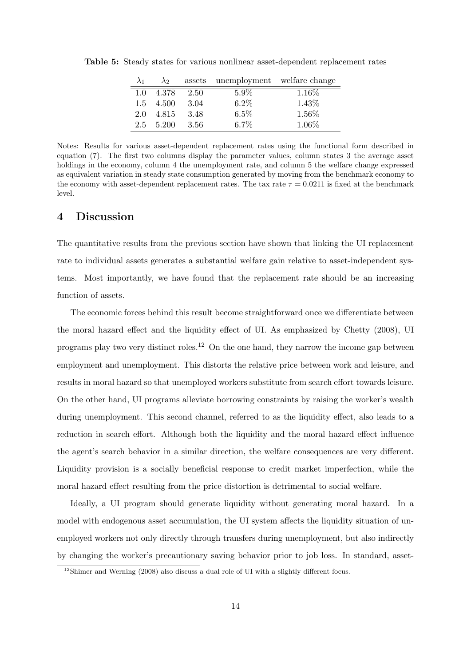| $\lambda_1$ | $\lambda_2$ |       | assets unemployment welfare change |        |
|-------------|-------------|-------|------------------------------------|--------|
| 1.0         | 4.378       | 2.50  | $5.9\%$                            | 1.16\% |
| 1.5         | 4.500       | 3.04  | 6.2%                               | 1.43%  |
| 2.0         | 4.815       | 3.48  | 6.5%                               | 1.56%  |
| 2.5         | 5.200       | -3.56 | $6.7\%$                            | 1.06%  |

Table 5: Steady states for various nonlinear asset-dependent replacement rates

Notes: Results for various asset-dependent replacement rates using the functional form described in equation (7). The first two columns display the parameter values, column states 3 the average asset holdings in the economy, column 4 the unemployment rate, and column 5 the welfare change expressed as equivalent variation in steady state consumption generated by moving from the benchmark economy to the economy with asset-dependent replacement rates. The tax rate  $\tau = 0.0211$  is fixed at the benchmark level.

## 4 Discussion

The quantitative results from the previous section have shown that linking the UI replacement rate to individual assets generates a substantial welfare gain relative to asset-independent systems. Most importantly, we have found that the replacement rate should be an increasing function of assets.

The economic forces behind this result become straightforward once we differentiate between the moral hazard effect and the liquidity effect of UI. As emphasized by Chetty (2008), UI programs play two very distinct roles.<sup>12</sup> On the one hand, they narrow the income gap between employment and unemployment. This distorts the relative price between work and leisure, and results in moral hazard so that unemployed workers substitute from search effort towards leisure. On the other hand, UI programs alleviate borrowing constraints by raising the worker's wealth during unemployment. This second channel, referred to as the liquidity effect, also leads to a reduction in search effort. Although both the liquidity and the moral hazard effect influence the agent's search behavior in a similar direction, the welfare consequences are very different. Liquidity provision is a socially beneficial response to credit market imperfection, while the moral hazard effect resulting from the price distortion is detrimental to social welfare.

Ideally, a UI program should generate liquidity without generating moral hazard. In a model with endogenous asset accumulation, the UI system affects the liquidity situation of unemployed workers not only directly through transfers during unemployment, but also indirectly by changing the worker's precautionary saving behavior prior to job loss. In standard, asset-

<sup>&</sup>lt;sup>12</sup>Shimer and Werning (2008) also discuss a dual role of UI with a slightly different focus.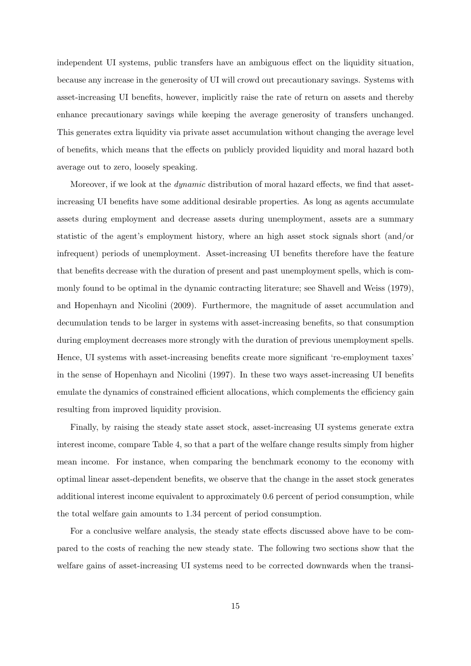independent UI systems, public transfers have an ambiguous effect on the liquidity situation, because any increase in the generosity of UI will crowd out precautionary savings. Systems with asset-increasing UI benefits, however, implicitly raise the rate of return on assets and thereby enhance precautionary savings while keeping the average generosity of transfers unchanged. This generates extra liquidity via private asset accumulation without changing the average level of benefits, which means that the effects on publicly provided liquidity and moral hazard both average out to zero, loosely speaking.

Moreover, if we look at the *dynamic* distribution of moral hazard effects, we find that assetincreasing UI benefits have some additional desirable properties. As long as agents accumulate assets during employment and decrease assets during unemployment, assets are a summary statistic of the agent's employment history, where an high asset stock signals short (and/or infrequent) periods of unemployment. Asset-increasing UI benefits therefore have the feature that benefits decrease with the duration of present and past unemployment spells, which is commonly found to be optimal in the dynamic contracting literature; see Shavell and Weiss (1979), and Hopenhayn and Nicolini (2009). Furthermore, the magnitude of asset accumulation and decumulation tends to be larger in systems with asset-increasing benefits, so that consumption during employment decreases more strongly with the duration of previous unemployment spells. Hence, UI systems with asset-increasing benefits create more significant 're-employment taxes' in the sense of Hopenhayn and Nicolini (1997). In these two ways asset-increasing UI benefits emulate the dynamics of constrained efficient allocations, which complements the efficiency gain resulting from improved liquidity provision.

Finally, by raising the steady state asset stock, asset-increasing UI systems generate extra interest income, compare Table 4, so that a part of the welfare change results simply from higher mean income. For instance, when comparing the benchmark economy to the economy with optimal linear asset-dependent benefits, we observe that the change in the asset stock generates additional interest income equivalent to approximately 0.6 percent of period consumption, while the total welfare gain amounts to 1.34 percent of period consumption.

For a conclusive welfare analysis, the steady state effects discussed above have to be compared to the costs of reaching the new steady state. The following two sections show that the welfare gains of asset-increasing UI systems need to be corrected downwards when the transi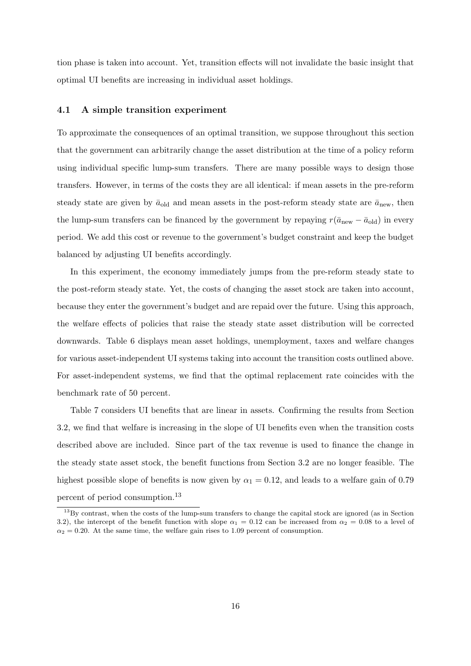tion phase is taken into account. Yet, transition effects will not invalidate the basic insight that optimal UI benefits are increasing in individual asset holdings.

#### 4.1 A simple transition experiment

To approximate the consequences of an optimal transition, we suppose throughout this section that the government can arbitrarily change the asset distribution at the time of a policy reform using individual specific lump-sum transfers. There are many possible ways to design those transfers. However, in terms of the costs they are all identical: if mean assets in the pre-reform steady state are given by  $\bar{a}_{old}$  and mean assets in the post-reform steady state are  $\bar{a}_{new}$ , then the lump-sum transfers can be financed by the government by repaying  $r(\bar{a}_{new} - \bar{a}_{old})$  in every period. We add this cost or revenue to the government's budget constraint and keep the budget balanced by adjusting UI benefits accordingly.

In this experiment, the economy immediately jumps from the pre-reform steady state to the post-reform steady state. Yet, the costs of changing the asset stock are taken into account, because they enter the government's budget and are repaid over the future. Using this approach, the welfare effects of policies that raise the steady state asset distribution will be corrected downwards. Table 6 displays mean asset holdings, unemployment, taxes and welfare changes for various asset-independent UI systems taking into account the transition costs outlined above. For asset-independent systems, we find that the optimal replacement rate coincides with the benchmark rate of 50 percent.

Table 7 considers UI benefits that are linear in assets. Confirming the results from Section 3.2, we find that welfare is increasing in the slope of UI benefits even when the transition costs described above are included. Since part of the tax revenue is used to finance the change in the steady state asset stock, the benefit functions from Section 3.2 are no longer feasible. The highest possible slope of benefits is now given by  $\alpha_1 = 0.12$ , and leads to a welfare gain of 0.79 percent of period consumption.<sup>13</sup>

<sup>&</sup>lt;sup>13</sup>By contrast, when the costs of the lump-sum transfers to change the capital stock are ignored (as in Section 3.2), the intercept of the benefit function with slope  $\alpha_1 = 0.12$  can be increased from  $\alpha_2 = 0.08$  to a level of  $\alpha_2 = 0.20$ . At the same time, the welfare gain rises to 1.09 percent of consumption.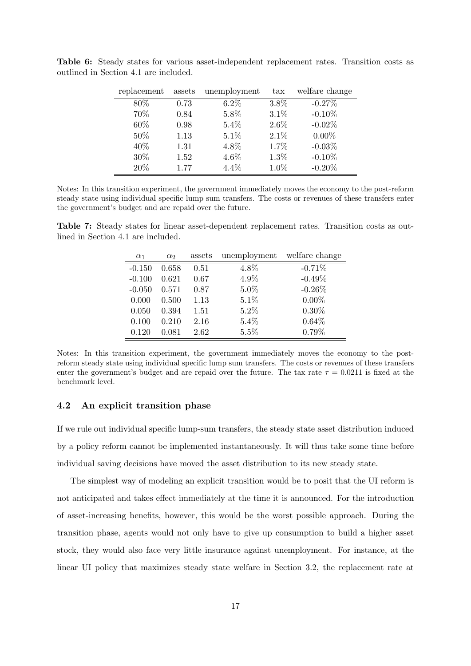| replacement | assets | unemployment | $\text{tax}$ | welfare change |
|-------------|--------|--------------|--------------|----------------|
| 80%         | 0.73   | $6.2\%$      | 3.8%         | $-0.27%$       |
| 70%         | 0.84   | 5.8%         | 3.1%         | $-0.10%$       |
| 60%         | 0.98   | 5.4%         | 2.6%         | $-0.02\%$      |
| 50%         | 1.13   | $5.1\%$      | 2.1%         | $0.00\%$       |
| 40%         | 1.31   | 4.8%         | 1.7%         | $-0.03\%$      |
| 30%         | 1.52   | 4.6%         | 1.3%         | $-0.10\%$      |
| 20%         | 1.77   | 4.4%         | 1.0%         | $-0.20\%$      |

Table 6: Steady states for various asset-independent replacement rates. Transition costs as outlined in Section 4.1 are included.

Notes: In this transition experiment, the government immediately moves the economy to the post-reform steady state using individual specific lump sum transfers. The costs or revenues of these transfers enter the government's budget and are repaid over the future.

Table 7: Steady states for linear asset-dependent replacement rates. Transition costs as outlined in Section 4.1 are included.

| $\alpha_1$ | $\alpha_2$ | assets | unemployment welfare change |           |
|------------|------------|--------|-----------------------------|-----------|
| $-0.150$   | 0.658      | 0.51   | 4.8%                        | $-0.71%$  |
| $-0.100$   | 0.621      | 0.67   | 4.9%                        | $-0.49\%$ |
| $-0.050$   | 0.571      | 0.87   | 5.0%                        | $-0.26\%$ |
| 0.000      | 0.500      | 1.13   | 5.1%                        | $0.00\%$  |
| 0.050      | 0.394      | 1.51   | $5.2\%$                     | $0.30\%$  |
| 0.100      | 0.210      | 2.16   | 5.4%                        | 0.64%     |
| 0.120      | 0.081      | 2.62   | 5.5%                        | 0.79%     |

Notes: In this transition experiment, the government immediately moves the economy to the postreform steady state using individual specific lump sum transfers. The costs or revenues of these transfers enter the government's budget and are repaid over the future. The tax rate  $\tau = 0.0211$  is fixed at the benchmark level.

#### 4.2 An explicit transition phase

If we rule out individual specific lump-sum transfers, the steady state asset distribution induced by a policy reform cannot be implemented instantaneously. It will thus take some time before individual saving decisions have moved the asset distribution to its new steady state.

The simplest way of modeling an explicit transition would be to posit that the UI reform is not anticipated and takes effect immediately at the time it is announced. For the introduction of asset-increasing benefits, however, this would be the worst possible approach. During the transition phase, agents would not only have to give up consumption to build a higher asset stock, they would also face very little insurance against unemployment. For instance, at the linear UI policy that maximizes steady state welfare in Section 3.2, the replacement rate at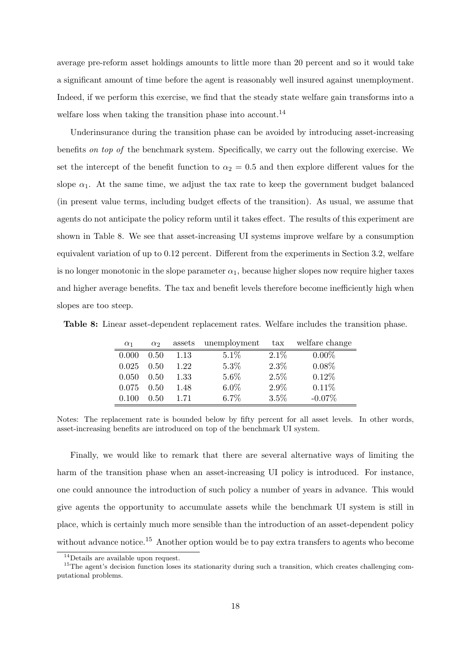average pre-reform asset holdings amounts to little more than 20 percent and so it would take a significant amount of time before the agent is reasonably well insured against unemployment. Indeed, if we perform this exercise, we find that the steady state welfare gain transforms into a welfare loss when taking the transition phase into account.<sup>14</sup>

Underinsurance during the transition phase can be avoided by introducing asset-increasing benefits on top of the benchmark system. Specifically, we carry out the following exercise. We set the intercept of the benefit function to  $\alpha_2 = 0.5$  and then explore different values for the slope  $\alpha_1$ . At the same time, we adjust the tax rate to keep the government budget balanced (in present value terms, including budget effects of the transition). As usual, we assume that agents do not anticipate the policy reform until it takes effect. The results of this experiment are shown in Table 8. We see that asset-increasing UI systems improve welfare by a consumption equivalent variation of up to 0.12 percent. Different from the experiments in Section 3.2, welfare is no longer monotonic in the slope parameter  $\alpha_1$ , because higher slopes now require higher taxes and higher average benefits. The tax and benefit levels therefore become inefficiently high when slopes are too steep.

Table 8: Linear asset-dependent replacement rates. Welfare includes the transition phase.

| $\alpha_1$ | $\alpha$ | assets | unemployment | $\text{tax}$ | welfare change |
|------------|----------|--------|--------------|--------------|----------------|
| 0.000      | 0.50     | 1.13   | 5.1%         | $2.1\%$      | $0.00\%$       |
| 0.025      | 0.50     | 1.22   | 5.3%         | 2.3%         | $0.08\%$       |
| 0.050      | 0.50     | 1.33   | $5.6\%$      | 2.5%         | 0.12%          |
| 0.075      | 0.50     | 1.48   | $6.0\%$      | 2.9%         | 0.11%          |
| 0.100      | 0.50     | 1.71   | 6.7%         | 3.5%         | $-0.07\%$      |

Notes: The replacement rate is bounded below by fifty percent for all asset levels. In other words, asset-increasing benefits are introduced on top of the benchmark UI system.

Finally, we would like to remark that there are several alternative ways of limiting the harm of the transition phase when an asset-increasing UI policy is introduced. For instance, one could announce the introduction of such policy a number of years in advance. This would give agents the opportunity to accumulate assets while the benchmark UI system is still in place, which is certainly much more sensible than the introduction of an asset-dependent policy without advance notice.<sup>15</sup> Another option would be to pay extra transfers to agents who become

<sup>14</sup>Details are available upon request.

<sup>&</sup>lt;sup>15</sup>The agent's decision function loses its stationarity during such a transition, which creates challenging computational problems.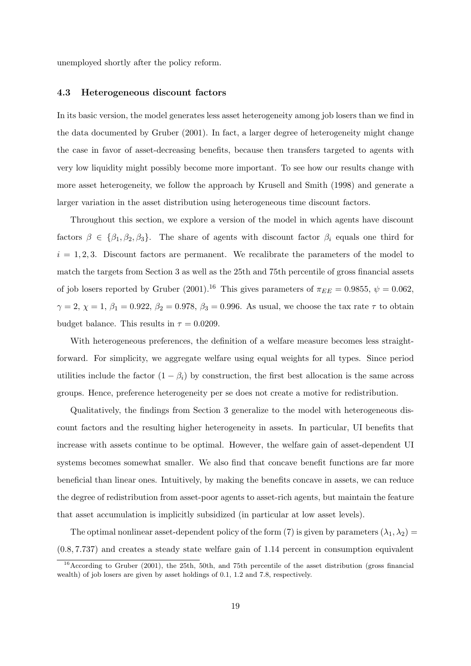unemployed shortly after the policy reform.

#### 4.3 Heterogeneous discount factors

In its basic version, the model generates less asset heterogeneity among job losers than we find in the data documented by Gruber (2001). In fact, a larger degree of heterogeneity might change the case in favor of asset-decreasing benefits, because then transfers targeted to agents with very low liquidity might possibly become more important. To see how our results change with more asset heterogeneity, we follow the approach by Krusell and Smith (1998) and generate a larger variation in the asset distribution using heterogeneous time discount factors.

Throughout this section, we explore a version of the model in which agents have discount factors  $\beta \in {\beta_1, \beta_2, \beta_3}$ . The share of agents with discount factor  $\beta_i$  equals one third for  $i = 1, 2, 3$ . Discount factors are permanent. We recalibrate the parameters of the model to match the targets from Section 3 as well as the 25th and 75th percentile of gross financial assets of job losers reported by Gruber (2001).<sup>16</sup> This gives parameters of  $\pi_{EE} = 0.9855$ ,  $\psi = 0.062$ ,  $\gamma = 2, \chi = 1, \beta_1 = 0.922, \beta_2 = 0.978, \beta_3 = 0.996$ . As usual, we choose the tax rate  $\tau$  to obtain budget balance. This results in  $\tau = 0.0209$ .

With heterogeneous preferences, the definition of a welfare measure becomes less straightforward. For simplicity, we aggregate welfare using equal weights for all types. Since period utilities include the factor  $(1 - \beta_i)$  by construction, the first best allocation is the same across groups. Hence, preference heterogeneity per se does not create a motive for redistribution.

Qualitatively, the findings from Section 3 generalize to the model with heterogeneous discount factors and the resulting higher heterogeneity in assets. In particular, UI benefits that increase with assets continue to be optimal. However, the welfare gain of asset-dependent UI systems becomes somewhat smaller. We also find that concave benefit functions are far more beneficial than linear ones. Intuitively, by making the benefits concave in assets, we can reduce the degree of redistribution from asset-poor agents to asset-rich agents, but maintain the feature that asset accumulation is implicitly subsidized (in particular at low asset levels).

The optimal nonlinear asset-dependent policy of the form (7) is given by parameters  $(\lambda_1, \lambda_2)$  = (0.8, 7.737) and creates a steady state welfare gain of 1.14 percent in consumption equivalent

 $16$ According to Gruber (2001), the 25th, 50th, and 75th percentile of the asset distribution (gross financial wealth) of job losers are given by asset holdings of 0.1, 1.2 and 7.8, respectively.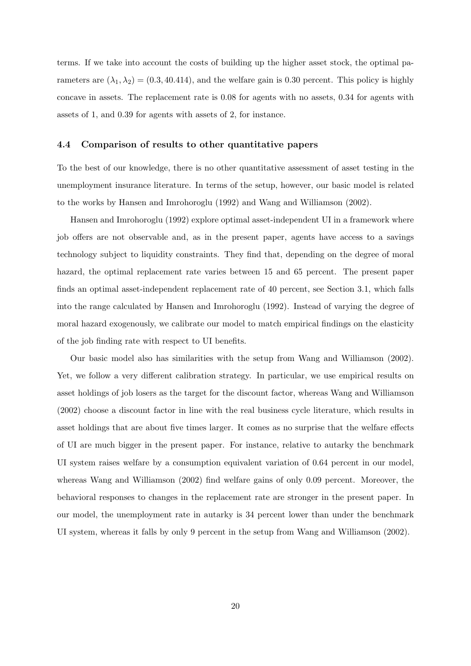terms. If we take into account the costs of building up the higher asset stock, the optimal parameters are  $(\lambda_1, \lambda_2) = (0.3, 40.414)$ , and the welfare gain is 0.30 percent. This policy is highly concave in assets. The replacement rate is 0.08 for agents with no assets, 0.34 for agents with assets of 1, and 0.39 for agents with assets of 2, for instance.

#### 4.4 Comparison of results to other quantitative papers

To the best of our knowledge, there is no other quantitative assessment of asset testing in the unemployment insurance literature. In terms of the setup, however, our basic model is related to the works by Hansen and Imrohoroglu (1992) and Wang and Williamson (2002).

Hansen and Imrohoroglu (1992) explore optimal asset-independent UI in a framework where job offers are not observable and, as in the present paper, agents have access to a savings technology subject to liquidity constraints. They find that, depending on the degree of moral hazard, the optimal replacement rate varies between 15 and 65 percent. The present paper finds an optimal asset-independent replacement rate of 40 percent, see Section 3.1, which falls into the range calculated by Hansen and Imrohoroglu (1992). Instead of varying the degree of moral hazard exogenously, we calibrate our model to match empirical findings on the elasticity of the job finding rate with respect to UI benefits.

Our basic model also has similarities with the setup from Wang and Williamson (2002). Yet, we follow a very different calibration strategy. In particular, we use empirical results on asset holdings of job losers as the target for the discount factor, whereas Wang and Williamson (2002) choose a discount factor in line with the real business cycle literature, which results in asset holdings that are about five times larger. It comes as no surprise that the welfare effects of UI are much bigger in the present paper. For instance, relative to autarky the benchmark UI system raises welfare by a consumption equivalent variation of 0.64 percent in our model, whereas Wang and Williamson (2002) find welfare gains of only 0.09 percent. Moreover, the behavioral responses to changes in the replacement rate are stronger in the present paper. In our model, the unemployment rate in autarky is 34 percent lower than under the benchmark UI system, whereas it falls by only 9 percent in the setup from Wang and Williamson (2002).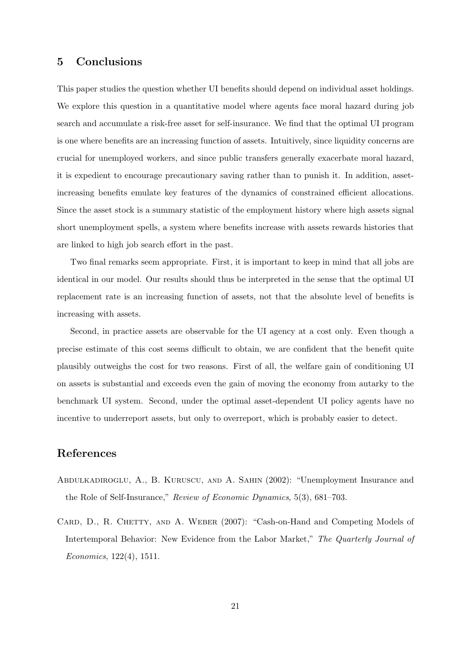## 5 Conclusions

This paper studies the question whether UI benefits should depend on individual asset holdings. We explore this question in a quantitative model where agents face moral hazard during job search and accumulate a risk-free asset for self-insurance. We find that the optimal UI program is one where benefits are an increasing function of assets. Intuitively, since liquidity concerns are crucial for unemployed workers, and since public transfers generally exacerbate moral hazard, it is expedient to encourage precautionary saving rather than to punish it. In addition, assetincreasing benefits emulate key features of the dynamics of constrained efficient allocations. Since the asset stock is a summary statistic of the employment history where high assets signal short unemployment spells, a system where benefits increase with assets rewards histories that are linked to high job search effort in the past.

Two final remarks seem appropriate. First, it is important to keep in mind that all jobs are identical in our model. Our results should thus be interpreted in the sense that the optimal UI replacement rate is an increasing function of assets, not that the absolute level of benefits is increasing with assets.

Second, in practice assets are observable for the UI agency at a cost only. Even though a precise estimate of this cost seems difficult to obtain, we are confident that the benefit quite plausibly outweighs the cost for two reasons. First of all, the welfare gain of conditioning UI on assets is substantial and exceeds even the gain of moving the economy from autarky to the benchmark UI system. Second, under the optimal asset-dependent UI policy agents have no incentive to underreport assets, but only to overreport, which is probably easier to detect.

## References

- Abdulkadiroglu, A., B. Kuruscu, and A. Sahin (2002): "Unemployment Insurance and the Role of Self-Insurance," Review of Economic Dynamics, 5(3), 681–703.
- CARD, D., R. CHETTY, AND A. WEBER (2007): "Cash-on-Hand and Competing Models of Intertemporal Behavior: New Evidence from the Labor Market," The Quarterly Journal of Economics, 122(4), 1511.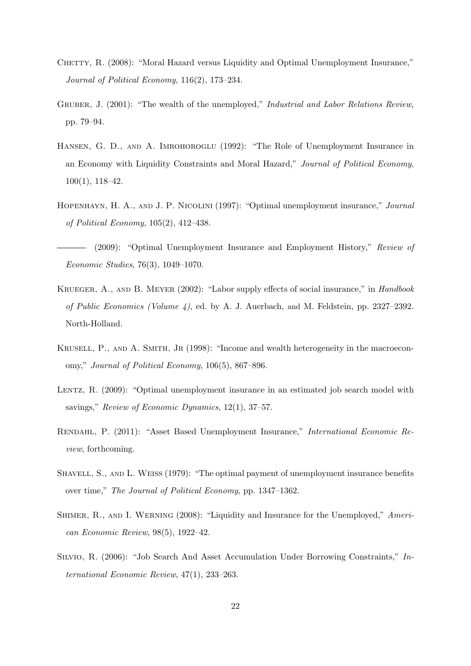- CHETTY, R. (2008): "Moral Hazard versus Liquidity and Optimal Unemployment Insurance," Journal of Political Economy, 116(2), 173–234.
- GRUBER, J. (2001): "The wealth of the unemployed," Industrial and Labor Relations Review, pp. 79–94.
- HANSEN, G. D., AND A. IMROHOROGLU (1992): "The Role of Unemployment Insurance in an Economy with Liquidity Constraints and Moral Hazard," Journal of Political Economy, 100(1), 118–42.
- Hopenhayn, H. A., and J. P. Nicolini (1997): "Optimal unemployment insurance," Journal of Political Economy, 105(2), 412–438.
- (2009): "Optimal Unemployment Insurance and Employment History," Review of Economic Studies, 76(3), 1049–1070.
- Krueger, A., and B. Meyer (2002): "Labor supply effects of social insurance," in Handbook of Public Economics (Volume 4), ed. by A. J. Auerbach, and M. Feldstein, pp. 2327–2392. North-Holland.
- KRUSELL, P., AND A. SMITH, JR (1998): "Income and wealth heterogeneity in the macroeconomy," Journal of Political Economy, 106(5), 867–896.
- LENTZ, R. (2009): "Optimal unemployment insurance in an estimated job search model with savings," Review of Economic Dynamics, 12(1), 37–57.
- Rendahl, P. (2011): "Asset Based Unemployment Insurance," International Economic Review, forthcoming.
- SHAVELL, S., AND L. WEISS (1979): "The optimal payment of unemployment insurance benefits over time," The Journal of Political Economy, pp. 1347–1362.
- SHIMER, R., AND I. WERNING (2008): "Liquidity and Insurance for the Unemployed," American Economic Review, 98(5), 1922–42.
- Silvio, R. (2006): "Job Search And Asset Accumulation Under Borrowing Constraints," International Economic Review, 47(1), 233–263.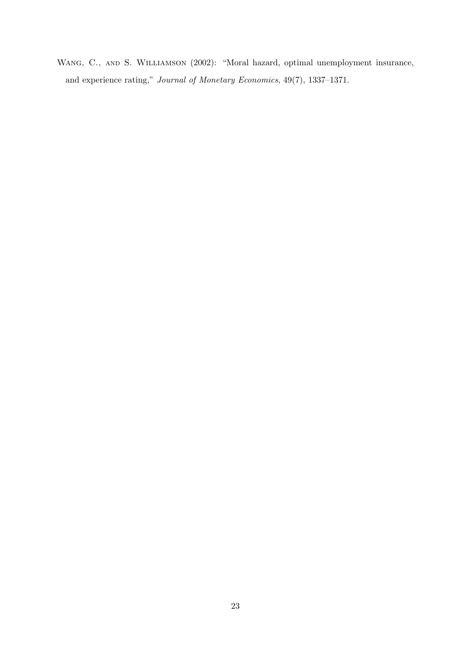Wang, C., and S. Williamson (2002): "Moral hazard, optimal unemployment insurance, and experience rating," Journal of Monetary Economics, 49(7), 1337–1371.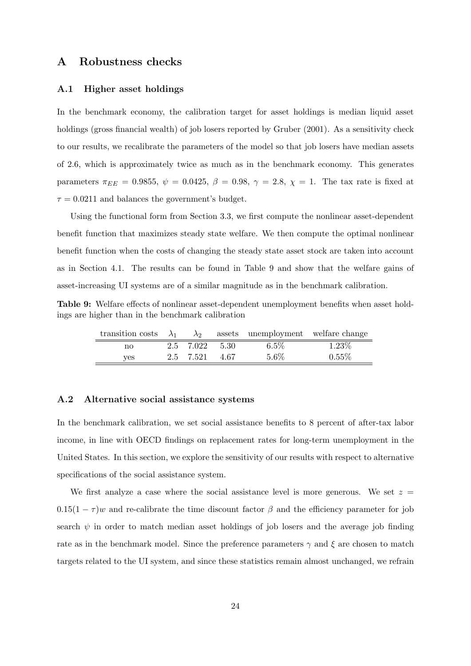## A Robustness checks

#### A.1 Higher asset holdings

In the benchmark economy, the calibration target for asset holdings is median liquid asset holdings (gross financial wealth) of job losers reported by Gruber (2001). As a sensitivity check to our results, we recalibrate the parameters of the model so that job losers have median assets of 2.6, which is approximately twice as much as in the benchmark economy. This generates parameters  $\pi_{EE} = 0.9855$ ,  $\psi = 0.0425$ ,  $\beta = 0.98$ ,  $\gamma = 2.8$ ,  $\chi = 1$ . The tax rate is fixed at  $\tau = 0.0211$  and balances the government's budget.

Using the functional form from Section 3.3, we first compute the nonlinear asset-dependent benefit function that maximizes steady state welfare. We then compute the optimal nonlinear benefit function when the costs of changing the steady state asset stock are taken into account as in Section 4.1. The results can be found in Table 9 and show that the welfare gains of asset-increasing UI systems are of a similar magnitude as in the benchmark calibration.

Table 9: Welfare effects of nonlinear asset-dependent unemployment benefits when asset holdings are higher than in the benchmark calibration

| transition costs $\lambda_1$ $\lambda_2$ assets unemployment welfare change |                |         |          |
|-----------------------------------------------------------------------------|----------------|---------|----------|
| no                                                                          | 2.5 7.022 5.30 | $6.5\%$ | $1.23\%$ |
| <b>ves</b>                                                                  | 2.5 7.521 4.67 | $5.6\%$ | $0.55\%$ |

#### A.2 Alternative social assistance systems

In the benchmark calibration, we set social assistance benefits to 8 percent of after-tax labor income, in line with OECD findings on replacement rates for long-term unemployment in the United States. In this section, we explore the sensitivity of our results with respect to alternative specifications of the social assistance system.

We first analyze a case where the social assistance level is more generous. We set  $z =$  $0.15(1 - \tau)$ w and re-calibrate the time discount factor  $\beta$  and the efficiency parameter for job search  $\psi$  in order to match median asset holdings of job losers and the average job finding rate as in the benchmark model. Since the preference parameters  $\gamma$  and  $\xi$  are chosen to match targets related to the UI system, and since these statistics remain almost unchanged, we refrain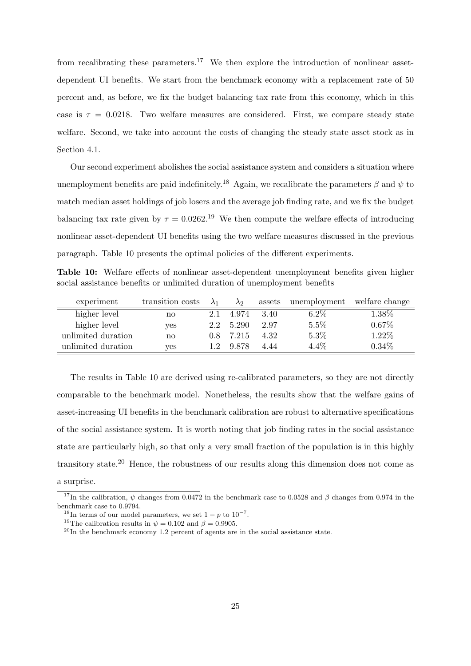from recalibrating these parameters.<sup>17</sup> We then explore the introduction of nonlinear assetdependent UI benefits. We start from the benchmark economy with a replacement rate of 50 percent and, as before, we fix the budget balancing tax rate from this economy, which in this case is  $\tau = 0.0218$ . Two welfare measures are considered. First, we compare steady state welfare. Second, we take into account the costs of changing the steady state asset stock as in Section 4.1.

Our second experiment abolishes the social assistance system and considers a situation where unemployment benefits are paid indefinitely.<sup>18</sup> Again, we recalibrate the parameters  $\beta$  and  $\psi$  to match median asset holdings of job losers and the average job finding rate, and we fix the budget balancing tax rate given by  $\tau = 0.0262^{19}$  We then compute the welfare effects of introducing nonlinear asset-dependent UI benefits using the two welfare measures discussed in the previous paragraph. Table 10 presents the optimal policies of the different experiments.

Table 10: Welfare effects of nonlinear asset-dependent unemployment benefits given higher social assistance benefits or unlimited duration of unemployment benefits

| experiment         | transition costs       | $\lambda_1$ | $\lambda_2$ | assets | unemployment | welfare change |
|--------------------|------------------------|-------------|-------------|--------|--------------|----------------|
| higher level       | no                     | 2.1         | 4.974       | 3.40   | $6.2\%$      | 1.38%          |
| higher level       | ves                    | 2.2         | 5.290       | 2.97   | 5.5%         | $0.67\%$       |
| unlimited duration | $\mathbf{n}\mathbf{o}$ | 0.8         | 7.215       | 4.32   | 5.3%         | 1.22%          |
| unlimited duration | <b>ves</b>             |             | 9.878       | 4.44   | 4.4%         | $0.34\%$       |

The results in Table 10 are derived using re-calibrated parameters, so they are not directly comparable to the benchmark model. Nonetheless, the results show that the welfare gains of asset-increasing UI benefits in the benchmark calibration are robust to alternative specifications of the social assistance system. It is worth noting that job finding rates in the social assistance state are particularly high, so that only a very small fraction of the population is in this highly transitory state.<sup>20</sup> Hence, the robustness of our results along this dimension does not come as a surprise.

<sup>&</sup>lt;sup>17</sup>In the calibration,  $\psi$  changes from 0.0472 in the benchmark case to 0.0528 and  $\beta$  changes from 0.974 in the benchmark case to 0.9794.

<sup>&</sup>lt;sup>18</sup>In terms of our model parameters, we set  $1 - p$  to  $10^{-7}$ .

<sup>&</sup>lt;sup>19</sup>The calibration results in  $\psi = 0.102$  and  $\beta = 0.9905$ .

 $^{20}\mathrm{In}$  the benchmark economy 1.2 percent of agents are in the social assistance state.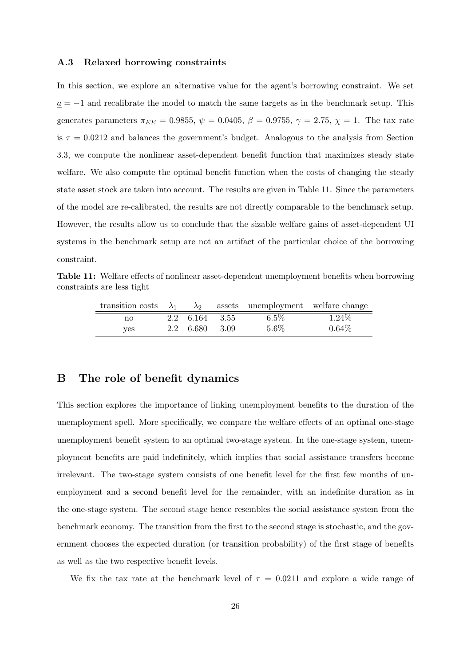#### A.3 Relaxed borrowing constraints

In this section, we explore an alternative value for the agent's borrowing constraint. We set  $a = -1$  and recalibrate the model to match the same targets as in the benchmark setup. This generates parameters  $\pi_{EE} = 0.9855, \psi = 0.0405, \beta = 0.9755, \gamma = 2.75, \chi = 1$ . The tax rate is  $\tau = 0.0212$  and balances the government's budget. Analogous to the analysis from Section 3.3, we compute the nonlinear asset-dependent benefit function that maximizes steady state welfare. We also compute the optimal benefit function when the costs of changing the steady state asset stock are taken into account. The results are given in Table 11. Since the parameters of the model are re-calibrated, the results are not directly comparable to the benchmark setup. However, the results allow us to conclude that the sizable welfare gains of asset-dependent UI systems in the benchmark setup are not an artifact of the particular choice of the borrowing constraint.

Table 11: Welfare effects of nonlinear asset-dependent unemployment benefits when borrowing constraints are less tight

| transition costs $\lambda_1$ | $\lambda_2$    |      | assets unemployment welfare change |          |
|------------------------------|----------------|------|------------------------------------|----------|
| no                           | 2.2 6.164 3.55 |      | $6.5\%$                            | $1.24\%$ |
| ves                          | 2.2 6.680      | 3.09 | $5.6\%$                            | $0.64\%$ |

## B The role of benefit dynamics

This section explores the importance of linking unemployment benefits to the duration of the unemployment spell. More specifically, we compare the welfare effects of an optimal one-stage unemployment benefit system to an optimal two-stage system. In the one-stage system, unemployment benefits are paid indefinitely, which implies that social assistance transfers become irrelevant. The two-stage system consists of one benefit level for the first few months of unemployment and a second benefit level for the remainder, with an indefinite duration as in the one-stage system. The second stage hence resembles the social assistance system from the benchmark economy. The transition from the first to the second stage is stochastic, and the government chooses the expected duration (or transition probability) of the first stage of benefits as well as the two respective benefit levels.

We fix the tax rate at the benchmark level of  $\tau = 0.0211$  and explore a wide range of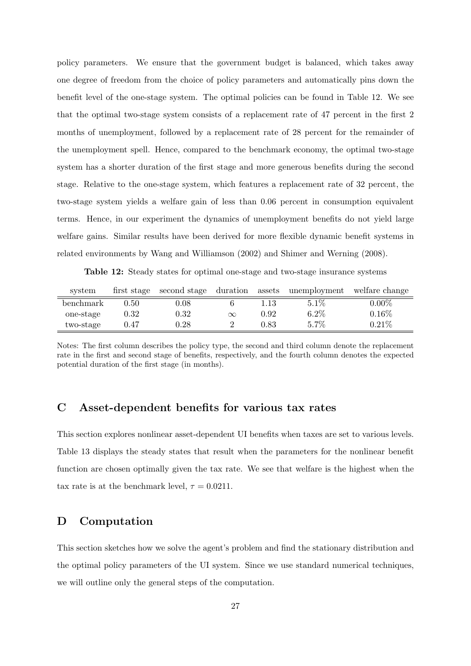policy parameters. We ensure that the government budget is balanced, which takes away one degree of freedom from the choice of policy parameters and automatically pins down the benefit level of the one-stage system. The optimal policies can be found in Table 12. We see that the optimal two-stage system consists of a replacement rate of 47 percent in the first 2 months of unemployment, followed by a replacement rate of 28 percent for the remainder of the unemployment spell. Hence, compared to the benchmark economy, the optimal two-stage system has a shorter duration of the first stage and more generous benefits during the second stage. Relative to the one-stage system, which features a replacement rate of 32 percent, the two-stage system yields a welfare gain of less than 0.06 percent in consumption equivalent terms. Hence, in our experiment the dynamics of unemployment benefits do not yield large welfare gains. Similar results have been derived for more flexible dynamic benefit systems in related environments by Wang and Williamson (2002) and Shimer and Werning (2008).

Table 12: Steady states for optimal one-stage and two-stage insurance systems

| system    |          |          |          |      | first stage second stage duration assets unemployment welfare change |          |
|-----------|----------|----------|----------|------|----------------------------------------------------------------------|----------|
| benchmark | 0.50     | $0.08\,$ |          | 1.13 | $5.1\%$                                                              | $0.00\%$ |
| one-stage | $0.32\,$ | 0.32     | $\infty$ | 0.92 | $6.2\%$                                                              | $0.16\%$ |
| two-stage | 0.47     | $0.28\,$ |          | 0.83 | 5.7%                                                                 | 0.21%    |

Notes: The first column describes the policy type, the second and third column denote the replacement rate in the first and second stage of benefits, respectively, and the fourth column denotes the expected potential duration of the first stage (in months).

## C Asset-dependent benefits for various tax rates

This section explores nonlinear asset-dependent UI benefits when taxes are set to various levels. Table 13 displays the steady states that result when the parameters for the nonlinear benefit function are chosen optimally given the tax rate. We see that welfare is the highest when the tax rate is at the benchmark level,  $\tau = 0.0211$ .

## D Computation

This section sketches how we solve the agent's problem and find the stationary distribution and the optimal policy parameters of the UI system. Since we use standard numerical techniques, we will outline only the general steps of the computation.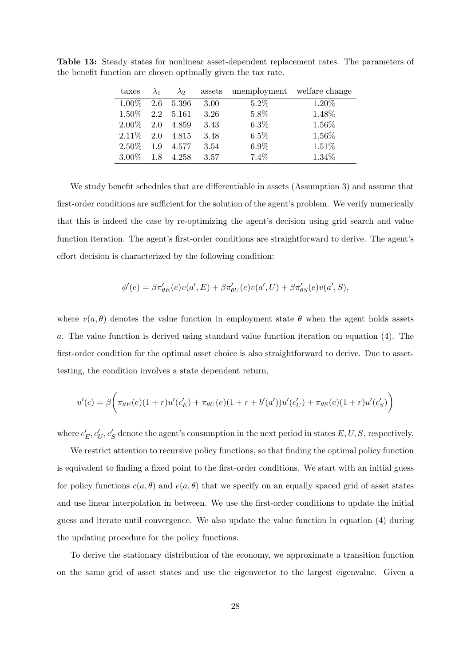| taxes    | $\lambda_1$ | $\lambda_2$ | assets | unemployment welfare change |        |
|----------|-------------|-------------|--------|-----------------------------|--------|
| 1.00%    | 2.6         | 5.396       | 3.00   | $5.2\%$                     | 1.20\% |
| $1.50\%$ | 2.2         | 5.161       | 3.26   | 5.8%                        | 1.48%  |
| $2.00\%$ | 2.0         | 4.859       | 3.43   | $6.3\%$                     | 1.56%  |
| $2.11\%$ | 2.0         | 4.815       | 3.48   | 6.5%                        | 1.56%  |
| $2.50\%$ | 1.9         | 4.577       | 3.54   | $6.9\%$                     | 1.51%  |
| $3.00\%$ | 1.8         | 4.258       | 3.57   | 7.4%                        | 1.34%  |

Table 13: Steady states for nonlinear asset-dependent replacement rates. The parameters of the benefit function are chosen optimally given the tax rate.

We study benefit schedules that are differentiable in assets (Assumption 3) and assume that first-order conditions are sufficient for the solution of the agent's problem. We verify numerically that this is indeed the case by re-optimizing the agent's decision using grid search and value function iteration. The agent's first-order conditions are straightforward to derive. The agent's effort decision is characterized by the following condition:

$$
\phi'(e) = \beta \pi'_{\theta E}(e) v(a', E) + \beta \pi'_{\theta U}(e) v(a', U) + \beta \pi'_{\theta S}(e) v(a', S),
$$

where  $v(a, \theta)$  denotes the value function in employment state  $\theta$  when the agent holds assets a. The value function is derived using standard value function iteration on equation (4). The first-order condition for the optimal asset choice is also straightforward to derive. Due to assettesting, the condition involves a state dependent return,

$$
u'(c) = \beta \bigg( \pi_{\theta E}(e) (1+r) u'(c'_{E}) + \pi_{\theta U}(e) (1+r+b'(a')) u'(c'_{U}) + \pi_{\theta S}(e) (1+r) u'(c'_{S}) \bigg)
$$

where  $c'_{E}, c'_{U}, c'_{S}$  denote the agent's consumption in the next period in states  $E, U, S$ , respectively.

We restrict attention to recursive policy functions, so that finding the optimal policy function is equivalent to finding a fixed point to the first-order conditions. We start with an initial guess for policy functions  $c(a, \theta)$  and  $e(a, \theta)$  that we specify on an equally spaced grid of asset states and use linear interpolation in between. We use the first-order conditions to update the initial guess and iterate until convergence. We also update the value function in equation (4) during the updating procedure for the policy functions.

To derive the stationary distribution of the economy, we approximate a transition function on the same grid of asset states and use the eigenvector to the largest eigenvalue. Given a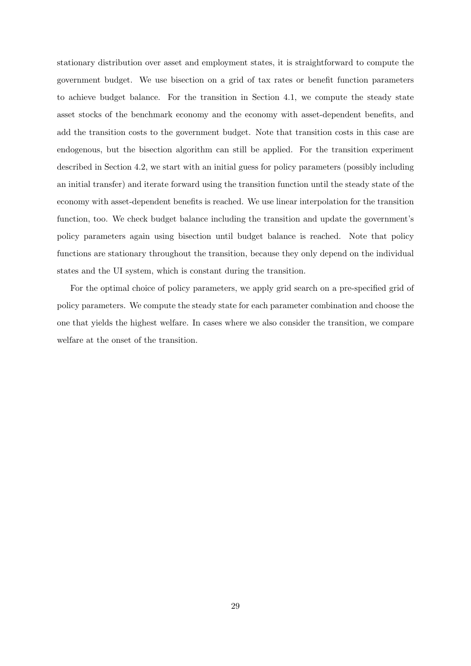stationary distribution over asset and employment states, it is straightforward to compute the government budget. We use bisection on a grid of tax rates or benefit function parameters to achieve budget balance. For the transition in Section 4.1, we compute the steady state asset stocks of the benchmark economy and the economy with asset-dependent benefits, and add the transition costs to the government budget. Note that transition costs in this case are endogenous, but the bisection algorithm can still be applied. For the transition experiment described in Section 4.2, we start with an initial guess for policy parameters (possibly including an initial transfer) and iterate forward using the transition function until the steady state of the economy with asset-dependent benefits is reached. We use linear interpolation for the transition function, too. We check budget balance including the transition and update the government's policy parameters again using bisection until budget balance is reached. Note that policy functions are stationary throughout the transition, because they only depend on the individual states and the UI system, which is constant during the transition.

For the optimal choice of policy parameters, we apply grid search on a pre-specified grid of policy parameters. We compute the steady state for each parameter combination and choose the one that yields the highest welfare. In cases where we also consider the transition, we compare welfare at the onset of the transition.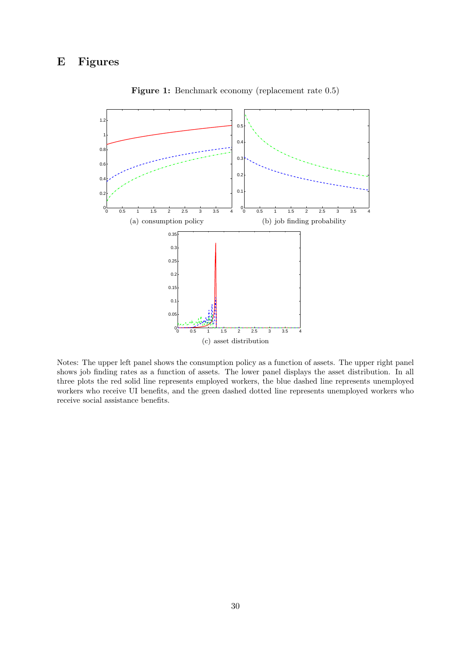

Figure 1: Benchmark economy (replacement rate 0.5)

Notes: The upper left panel shows the consumption policy as a function of assets. The upper right panel shows job finding rates as a function of assets. The lower panel displays the asset distribution. In all three plots the red solid line represents employed workers, the blue dashed line represents unemployed workers who receive UI benefits, and the green dashed dotted line represents unemployed workers who receive social assistance benefits.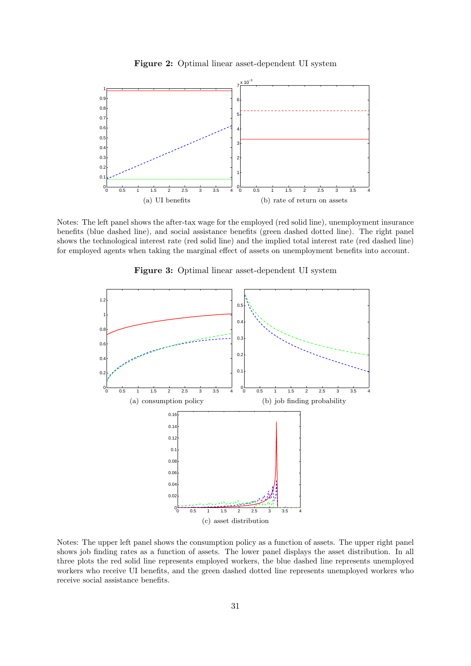



Notes: The left panel shows the after-tax wage for the employed (red solid line), unemployment insurance benefits (blue dashed line), and social assistance benefits (green dashed dotted line). The right panel shows the technological interest rate (red solid line) and the implied total interest rate (red dashed line) for employed agents when taking the marginal effect of assets on unemployment benefits into account.



Figure 3: Optimal linear asset-dependent UI system

Notes: The upper left panel shows the consumption policy as a function of assets. The upper right panel shows job finding rates as a function of assets. The lower panel displays the asset distribution. In all three plots the red solid line represents employed workers, the blue dashed line represents unemployed workers who receive UI benefits, and the green dashed dotted line represents unemployed workers who receive social assistance benefits.